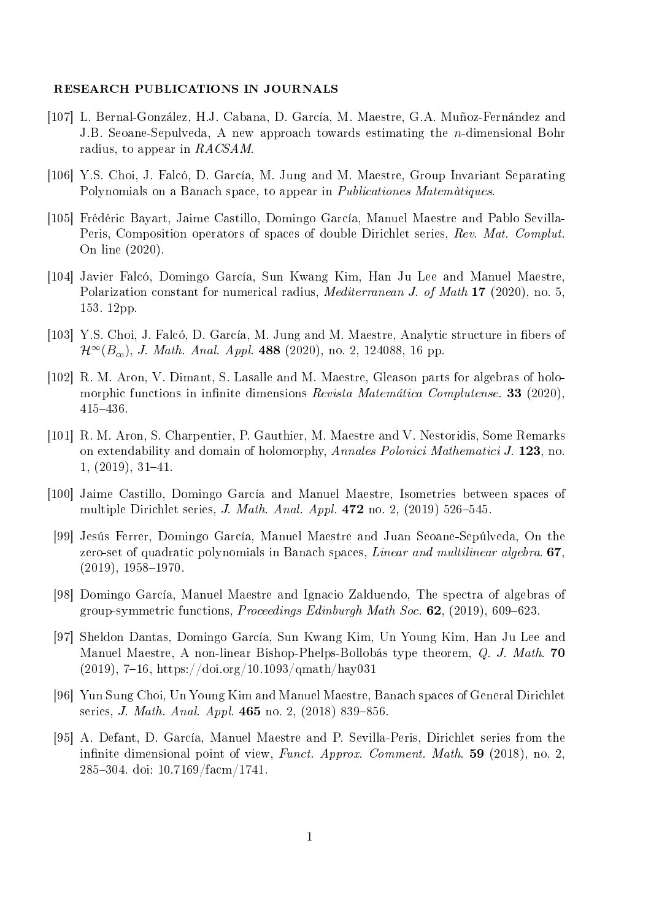## RESEARCH PUBLICATIONS IN JOURNALS

- [107] L. Bernal-González, H.J. Cabana, D. García, M. Maestre, G.A. Muñoz-Fernández and J.B. Seoane-Sepulveda, A new approach towards estimating the n-dimensional Bohr radius, to appear in RACSAM.
- [106] Y.S. Choi, J. Falcó, D. García, M. Jung and M. Maestre, Group Invariant Separating Polynomials on a Banach space, to appear in Publicationes Matemàtiques.
- [105] Frédéric Bayart, Jaime Castillo, Domingo García, Manuel Maestre and Pablo Sevilla-Peris, Composition operators of spaces of double Dirichlet series, Rev. Mat. Complut. On line (2020).
- [104] Javier Falcó, Domingo García, Sun Kwang Kim, Han Ju Lee and Manuel Maestre, Polarization constant for numerical radius, Mediterranean J. of Math 17 (2020), no. 5, 153. 12pp.
- [103] Y.S. Choi, J. Falcó, D. García, M. Jung and M. Maestre, Analytic structure in fibers of  $\mathcal{H}^{\infty}(B_{c_0})$ , J. Math. Anal. Appl. 488 (2020), no. 2, 124088, 16 pp.
- [102] R. M. Aron, V. Dimant, S. Lasalle and M. Maestre, Gleason parts for algebras of holomorphic functions in infinite dimensions Revista Matemática Complutense. 33 (2020), 415436.
- [101] R. M. Aron, S. Charpentier, P. Gauthier, M. Maestre and V. Nestoridis, Some Remarks on extendability and domain of holomorphy, Annales Polonici Mathematici J. 123, no.  $1, (2019), 31-41.$
- [100] Jaime Castillo, Domingo García and Manuel Maestre, Isometries between spaces of multiple Dirichlet series, J. Math. Anal. Appl.  $472$  no. 2,  $(2019)$  526-545.
- [99] Jesús Ferrer, Domingo García, Manuel Maestre and Juan Seoane-Sepúlveda, On the zero-set of quadratic polynomials in Banach spaces, *Linear and multilinear algebra*. 67,  $(2019), 1958-1970.$
- [98] Domingo García, Manuel Maestre and Ignacio Zalduendo, The spectra of algebras of group-symmetric functions, *Proceedings Edinburgh Math Soc.*  $62$ ,  $(2019)$ ,  $609-623$ .
- [97] Sheldon Dantas, Domingo García, Sun Kwang Kim, Un Young Kim, Han Ju Lee and Manuel Maestre, A non-linear Bishop-Phelps-Bollobás type theorem, Q. J. Math. 70  $(2019)$ , 7-16, https://doi.org/10.1093/qmath/hay031
- [96] Yun Sung Choi, Un Young Kim and Manuel Maestre, Banach spaces of General Dirichlet series, *J. Math. Anal. Appl.* 465 no. 2,  $(2018)$  839-856.
- [95] A. Defant, D. García, Manuel Maestre and P. Sevilla-Peris, Dirichlet series from the infinite dimensional point of view, Funct. Approx. Comment. Math.  $59$  (2018), no. 2, 285304. doi: 10.7169/facm/1741.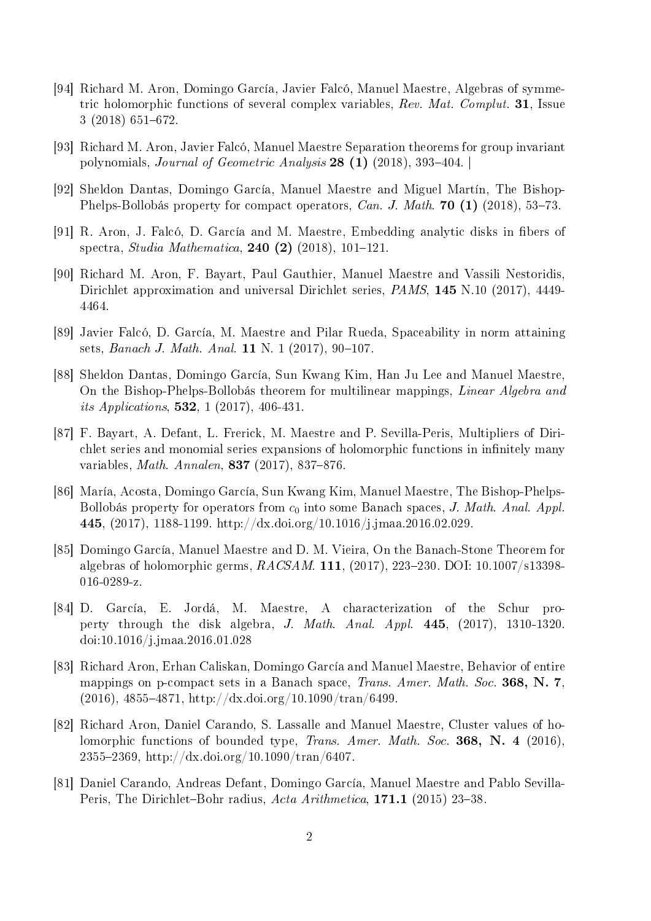- [94] Richard M. Aron, Domingo García, Javier Falcó, Manuel Maestre, Algebras of symmetric holomorphic functions of several complex variables, Rev. Mat. Complut. 31, Issue  $3(2018)$  651-672.
- [93] Richard M. Aron, Javier Falcó, Manuel Maestre Separation theorems for group invariant polynomials, *Journal of Geometric Analysis*  $28(1)(2018)$ , 393-404.
- [92] Sheldon Dantas, Domingo García, Manuel Maestre and Miguel Martín, The Bishop-Phelps-Bollobás property for compact operators, Can. J. Math. 70 (1) (2018), 53-73.
- [91] R. Aron, J. Falcó, D. García and M. Maestre, Embedding analytic disks in fibers of spectra, *Studia Mathematica*, **240 (2)** (2018), 101-121.
- [90] Richard M. Aron, F. Bayart, Paul Gauthier, Manuel Maestre and Vassili Nestoridis, Dirichlet approximation and universal Dirichlet series, PAMS, 145 N.10 (2017), 4449-4464.
- [89] Javier Falcó, D. García, M. Maestre and Pilar Rueda, Spaceability in norm attaining sets, *Banach J. Math. Anal.* **11** N. 1 (2017), 90-107.
- [88] Sheldon Dantas, Domingo García, Sun Kwang Kim, Han Ju Lee and Manuel Maestre, On the Bishop-Phelps-Bollobás theorem for multilinear mappings, Linear Algebra and its Applications, 532, 1 (2017), 406-431.
- [87] F. Bayart, A. Defant, L. Frerick, M. Maestre and P. Sevilla-Peris, Multipliers of Dirichlet series and monomial series expansions of holomorphic functions in infinitely many variables, *Math. Annalen*, **837** (2017), 837-876.
- [86] María, Acosta, Domingo García, Sun Kwang Kim, Manuel Maestre, The Bishop-Phelps-Bollobás property for operators from  $c_0$  into some Banach spaces, J. Math. Anal. Appl. 445,  $(2017)$ , 1188-1199. http://dx.doi.org/10.1016/j.jmaa.2016.02.029.
- [85] Domingo García, Manuel Maestre and D. M. Vieira, On the Banach-Stone Theorem for algebras of holomorphic germs,  $RACSAM.$  111, (2017), 223-230. DOI: 10.1007/s13398-016-0289-z.
- [84] D. García, E. Jordá, M. Maestre, A characterization of the Schur property through the disk algebra, J. Math. Anal. Appl. 445, (2017), 1310-1320. doi:10.1016/j.jmaa.2016.01.028
- [83] Richard Aron, Erhan Caliskan, Domingo García and Manuel Maestre, Behavior of entire mappings on p-compact sets in a Banach space, *Trans. Amer. Math. Soc.* 368, N. 7.  $(2016)$ , 4855-4871, http://dx.doi.org/10.1090/tran/6499.
- [82] Richard Aron, Daniel Carando, S. Lassalle and Manuel Maestre, Cluster values of holomorphic functions of bounded type, *Trans. Amer. Math. Soc.* **368, N. 4** (2016), 2355–2369, http://dx.doi.org/10.1090/tran/6407.
- [81] Daniel Carando, Andreas Defant, Domingo García, Manuel Maestre and Pablo Sevilla-Peris, The Dirichlet-Bohr radius, Acta Arithmetica, 171.1 (2015) 23-38.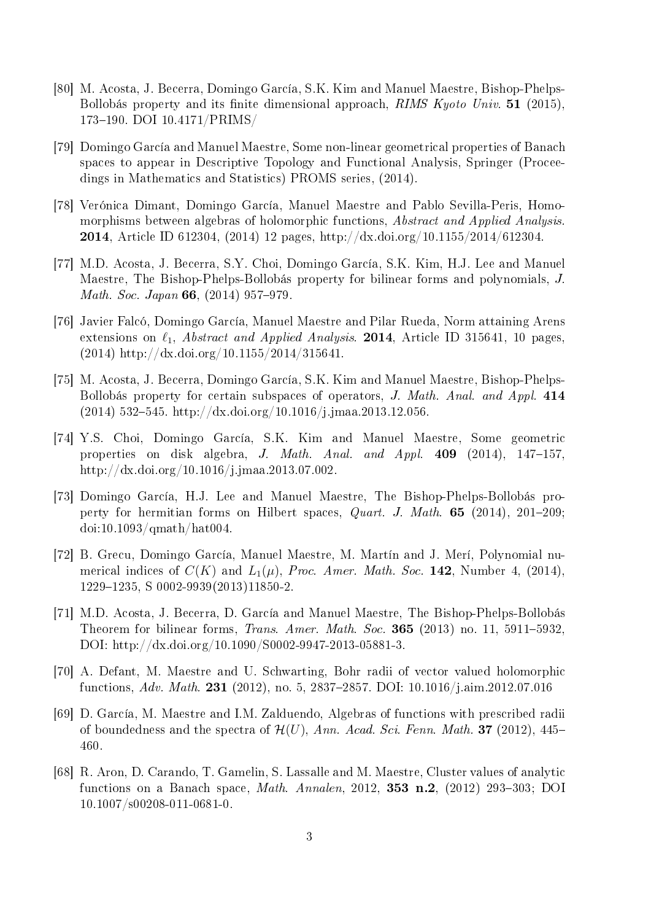- [80] M. Acosta, J. Becerra, Domingo García, S.K. Kim and Manuel Maestre, Bishop-Phelps-Bollobás property and its finite dimensional approach, *RIMS Kyoto Univ.* 51 (2015), 173–190. DOI 10.4171/PRIMS/
- [79] Domingo García and Manuel Maestre, Some non-linear geometrical properties of Banach spaces to appear in Descriptive Topology and Functional Analysis, Springer (Proceedings in Mathematics and Statistics) PROMS series, (2014).
- [78] Verónica Dimant, Domingo García, Manuel Maestre and Pablo Sevilla-Peris, Homomorphisms between algebras of holomorphic functions, *Abstract and Applied Analysis*. 2014, Article ID 612304, (2014) 12 pages, http://dx.doi.org/10.1155/2014/612304.
- [77] M.D. Acosta, J. Becerra, S.Y. Choi, Domingo García, S.K. Kim, H.J. Lee and Manuel Maestre, The Bishop-Phelps-Bollobás property for bilinear forms and polynomials, J. Math. Soc. Japan  $66$ ,  $(2014)$  957-979.
- [76] Javier Falcó, Domingo García, Manuel Maestre and Pilar Rueda, Norm attaining Arens extensions on  $\ell_1$ , Abstract and Applied Analysis. 2014, Article ID 315641, 10 pages. (2014) http://dx.doi.org/10.1155/2014/315641.
- [75] M. Acosta, J. Becerra, Domingo García, S.K. Kim and Manuel Maestre, Bishop-Phelps-Bollobás property for certain subspaces of operators, J. Math. Anal. and Appl. 414  $(2014)$  532-545. http://dx.doi.org/10.1016/j.jmaa.2013.12.056.
- [74] Y.S. Choi, Domingo García, S.K. Kim and Manuel Maestre, Some geometric properties on disk algebra, J. Math. Anal. and Appl. 409 (2014), 147–157. http://dx.doi.org/10.1016/j.jmaa.2013.07.002.
- [73] Domingo García, H.J. Lee and Manuel Maestre, The Bishop-Phelps-Bollobás property for hermitian forms on Hilbert spaces, *Quart. J. Math.* **65** (2014), 201–209; doi:10.1093/qmath/hat004.
- [72] B. Grecu, Domingo García, Manuel Maestre, M. Martín and J. Merí, Polynomial numerical indices of  $C(K)$  and  $L_1(\mu)$ , Proc. Amer. Math. Soc. 142, Number 4, (2014), 12291235, S 0002-9939(2013)11850-2.
- [71] M.D. Acosta, J. Becerra, D. García and Manuel Maestre, The Bishop-Phelps-Bollobás Theorem for bilinear forms, *Trans. Amer. Math. Soc.* **365** (2013) no. 11, 5911-5932. DOI: http://dx.doi.org/10.1090/S0002-9947-2013-05881-3.
- [70] A. Defant, M. Maestre and U. Schwarting, Bohr radii of vector valued holomorphic functions, Adv. Math. 231 (2012), no. 5, 2837–2857. DOI: 10.1016/j.aim.2012.07.016
- [69] D. García, M. Maestre and I.M. Zalduendo, Algebras of functions with prescribed radii of boundedness and the spectra of  $\mathcal{H}(U)$ , Ann. Acad. Sci. Fenn. Math. 37 (2012), 445-460.
- [68] R. Aron, D. Carando, T. Gamelin, S. Lassalle and M. Maestre, Cluster values of analytic functions on a Banach space, *Math. Annalen*, 2012, **353 n.2**, (2012) 293-303; DOI 10.1007/s00208-011-0681-0.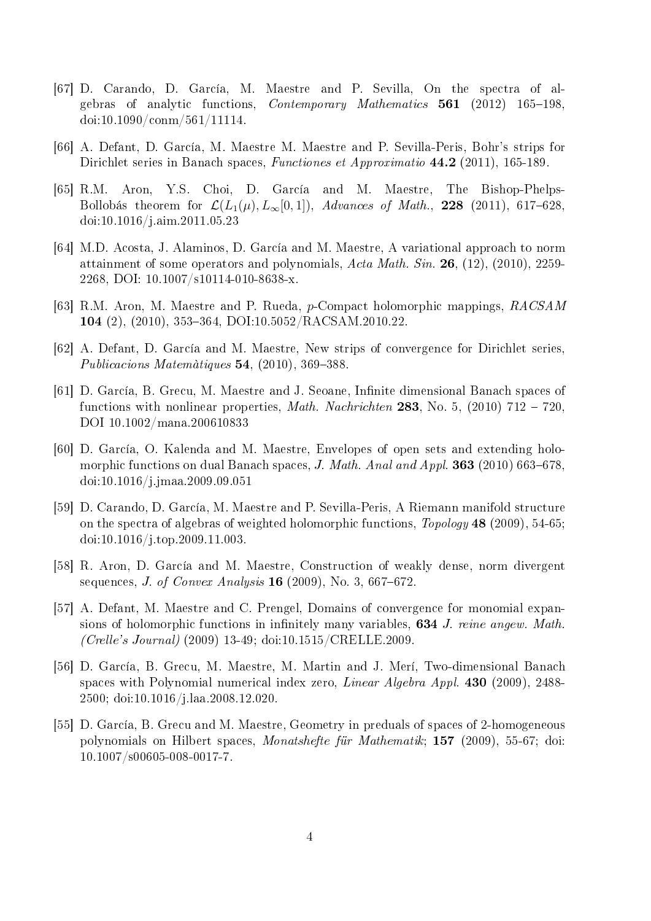- [67] D. Carando, D. García, M. Maestre and P. Sevilla, On the spectra of algebras of analytic functions, *Contemporary Mathematics*  $561$  (2012) 165–198, doi:10.1090/conm/561/11114.
- [66] A. Defant, D. García, M. Maestre M. Maestre and P. Sevilla-Peris, Bohr's strips for Dirichlet series in Banach spaces, Functiones et Approximatio 44.2 (2011), 165-189.
- [65] R.M. Aron, Y.S. Choi, D. García and M. Maestre, The Bishop-Phelps-Bollobás theorem for  $\mathcal{L}(L_1(\mu), L_\infty[0, 1])$ , Advances of Math., 228 (2011), 617-628, doi:10.1016/j.aim.2011.05.23
- [64] M.D. Acosta, J. Alaminos, D. García and M. Maestre, A variational approach to norm attainment of some operators and polynomials, Acta Math. Sin.  $26$ ,  $(12)$ ,  $(2010)$ ,  $2259$ -2268, DOI: 10.1007/s10114-010-8638-x.
- [63] R.M. Aron, M. Maestre and P. Rueda, p-Compact holomorphic mappings, RACSAM 104 (2), (2010), 353-364, DOI:10.5052/RACSAM.2010.22.
- [62] A. Defant, D. García and M. Maestre, New strips of convergence for Dirichlet series, Publicacions Matemàtiques  $54$ , (2010), 369-388.
- [61] D. García, B. Grecu, M. Maestre and J. Seoane, Infinite dimensional Banach spaces of functions with nonlinear properties, *Math. Nachrichten* 283, No. 5,  $(2010)$  712 – 720, DOI 10.1002/mana.200610833
- [60] D. García, O. Kalenda and M. Maestre, Envelopes of open sets and extending holomorphic functions on dual Banach spaces, J. Math. Anal and Appl. 363 (2010) 663-678, doi:10.1016/j.jmaa.2009.09.051
- [59] D. Carando, D. García, M. Maestre and P. Sevilla-Peris, A Riemann manifold structure on the spectra of algebras of weighted holomorphic functions, Topology 48 (2009), 54-65; doi:10.1016/j.top.2009.11.003.
- [58] R. Aron, D. García and M. Maestre, Construction of weakly dense, norm divergent sequences, *J. of Convex Analysis* **16** (2009), No. 3, 667–672.
- [57] A. Defant, M. Maestre and C. Prengel, Domains of convergence for monomial expansions of holomorphic functions in infinitely many variables,  $634$  J. reine angew. Math. (Crelle's Journal) (2009) 13-49; doi:10.1515/CRELLE.2009.
- [56] D. García, B. Grecu, M. Maestre, M. Martin and J. Merí, Two-dimensional Banach spaces with Polynomial numerical index zero, Linear Algebra Appl. 430 (2009), 2488- 2500; doi:10.1016/j.laa.2008.12.020.
- [55] D. García, B. Grecu and M. Maestre, Geometry in preduals of spaces of 2-homogeneous polynomials on Hilbert spaces, Monatshefte für Mathematik; 157 (2009), 55-67; doi: 10.1007/s00605-008-0017-7.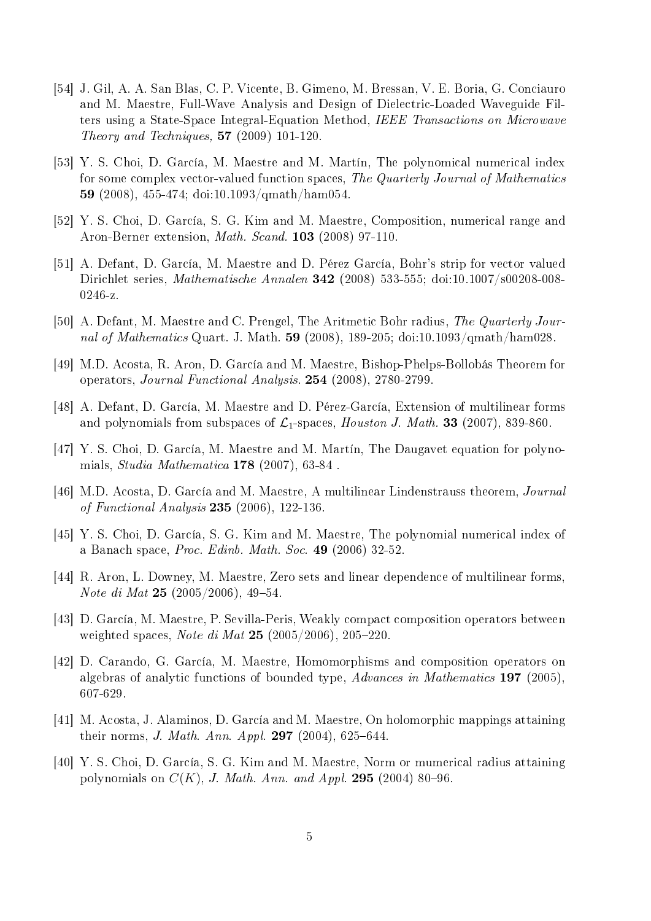- [54] J. Gil, A. A. San Blas, C. P. Vicente, B. Gimeno, M. Bressan, V. E. Boria, G. Conciauro and M. Maestre, Full-Wave Analysis and Design of Dielectric-Loaded Waveguide Filters using a State-Space Integral-Equation Method, IEEE Transactions on Microwave Theory and Techniques, 57 (2009) 101-120.
- [53] Y. S. Choi, D. García, M. Maestre and M. Martín, The polynomical numerical index for some complex vector-valued function spaces, The Quarterly Journal of Mathematics 59 (2008), 455-474; doi:10.1093/qmath/ham054.
- [52] Y. S. Choi, D. García, S. G. Kim and M. Maestre, Composition, numerical range and Aron-Berner extension, Math. Scand. 103 (2008) 97-110.
- [51] A. Defant, D. García, M. Maestre and D. Pérez García, Bohr's strip for vector valued Dirichlet series, Mathematische Annalen 342 (2008) 533-555; doi:10.1007/s00208-008- 0246-z.
- [50] A. Defant, M. Maestre and C. Prengel, The Aritmetic Bohr radius, The Quarterly Journal of Mathematics Quart. J. Math. 59 (2008), 189-205; doi:10.1093/qmath/ham028.
- [49] M.D. Acosta, R. Aron, D. García and M. Maestre, Bishop-Phelps-Bollobás Theorem for operators, Journal Functional Analysis. 254 (2008), 2780-2799.
- [48] A. Defant, D. García, M. Maestre and D. Pérez-García, Extension of multilinear forms and polynomials from subspaces of  $\mathcal{L}_1$ -spaces, Houston J. Math. 33 (2007), 839-860.
- [47] Y. S. Choi, D. García, M. Maestre and M. Martín, The Daugavet equation for polynomials, Studia Mathematica 178 (2007), 63-84 .
- [46] M.D. Acosta, D. García and M. Maestre, A multilinear Lindenstrauss theorem, Journal of Functional Analysis 235 (2006), 122-136.
- [45] Y. S. Choi, D. García, S. G. Kim and M. Maestre, The polynomial numerical index of a Banach space, Proc. Edinb. Math. Soc. 49 (2006) 32-52.
- [44] R. Aron, L. Downey, M. Maestre, Zero sets and linear dependence of multilinear forms, Note di Mat 25 (2005/2006), 49-54.
- [43] D. García, M. Maestre, P. Sevilla-Peris, Weakly compact composition operators between weighted spaces, *Note di Mat* 25 (2005/2006), 205-220.
- [42] D. Carando, G. García, M. Maestre, Homomorphisms and composition operators on algebras of analytic functions of bounded type, Advances in Mathematics 197 (2005), 607-629.
- [41] M. Acosta, J. Alaminos, D. García and M. Maestre, On holomorphic mappings attaining their norms, *J. Math. Ann. Appl.* 297  $(2004)$ , 625–644.
- [40] Y. S. Choi, D. García, S. G. Kim and M. Maestre, Norm or mumerical radius attaining polynomials on  $C(K)$ , J. Math. Ann. and Appl. 295 (2004) 80–96.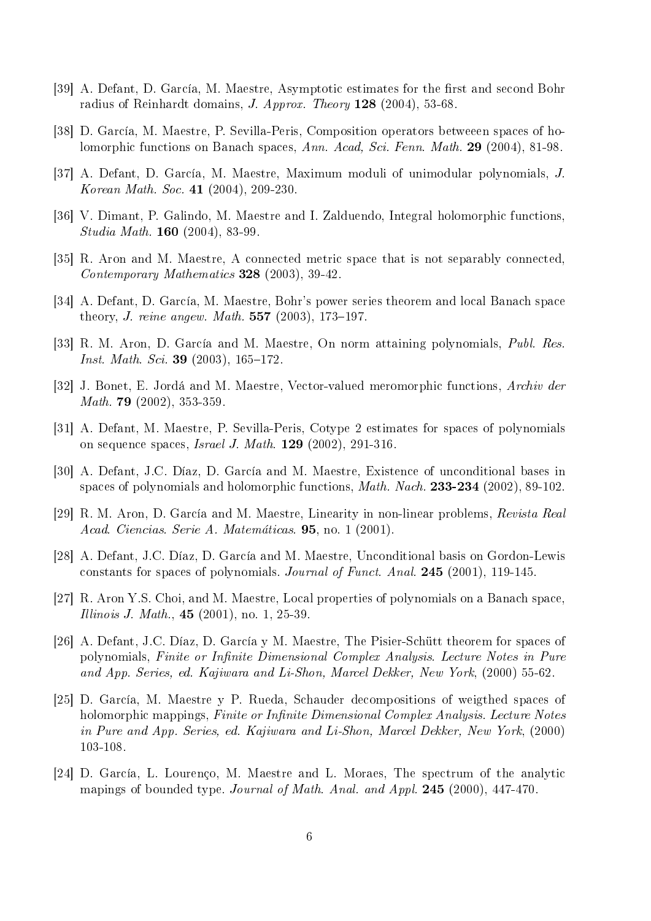- [39] A. Defant, D. García, M. Maestre, Asymptotic estimates for the first and second Bohr radius of Reinhardt domains, J. Approx. Theory 128 (2004), 53-68.
- [38] D. García, M. Maestre, P. Sevilla-Peris, Composition operators betweeen spaces of holomorphic functions on Banach spaces, Ann. Acad, Sci. Fenn. Math. 29 (2004), 81-98.
- [37] A. Defant, D. García, M. Maestre, Maximum moduli of unimodular polynomials, J. Korean Math. Soc. 41 (2004), 209-230.
- [36] V. Dimant, P. Galindo, M. Maestre and I. Zalduendo, Integral holomorphic functions, Studia Math. 160 (2004), 83-99.
- [35] R. Aron and M. Maestre, A connected metric space that is not separably connected, Contemporary Mathematics 328 (2003), 39-42.
- [34] A. Defant, D. García, M. Maestre, Bohr's power series theorem and local Banach space theory, *J. reine angew. Math.* **557** (2003), 173-197.
- [33] R. M. Aron, D. García and M. Maestre, On norm attaining polynomials, Publ. Res. *Inst. Math. Sci.* **39** (2003),  $165-172$ .
- [32] J. Bonet, E. Jordá and M. Maestre, Vector-valued meromorphic functions, Archiv der Math. 79 (2002), 353-359.
- [31] A. Defant, M. Maestre, P. Sevilla-Peris, Cotype 2 estimates for spaces of polynomials on sequence spaces, Israel J. Math. 129 (2002), 291-316.
- [30] A. Defant, J.C. Díaz, D. García and M. Maestre, Existence of unconditional bases in spaces of polynomials and holomorphic functions, Math. Nach. 233-234 (2002), 89-102.
- [29] R. M. Aron, D. García and M. Maestre, Linearity in non-linear problems, Revista Real Acad. Ciencias. Serie A. Matemáticas. 95, no. 1 (2001).
- [28] A. Defant, J.C. Díaz, D. García and M. Maestre, Unconditional basis on Gordon-Lewis constants for spaces of polynomials. Journal of Funct. Anal. 245 (2001), 119-145.
- [27] R. Aron Y.S. Choi, and M. Maestre, Local properties of polynomials on a Banach space, Illinois J. Math., 45 (2001), no. 1, 25-39.
- [26] A. Defant, J.C. Díaz, D. García y M. Maestre, The Pisier-Schütt theorem for spaces of polynomials, Finite or Infinite Dimensional Complex Analysis. Lecture Notes in Pure and App. Series, ed. Kajiwara and Li-Shon, Marcel Dekker, New York, (2000) 55-62.
- [25] D. García, M. Maestre y P. Rueda, Schauder decompositions of weigthed spaces of holomorphic mappings, Finite or Infinite Dimensional Complex Analysis. Lecture Notes in Pure and App. Series, ed. Kajiwara and Li-Shon, Marcel Dekker, New York, (2000) 103-108.
- [24] D. García, L. Lourenço, M. Maestre and L. Moraes, The spectrum of the analytic mapings of bounded type. Journal of Math. Anal. and Appl. 245 (2000), 447-470.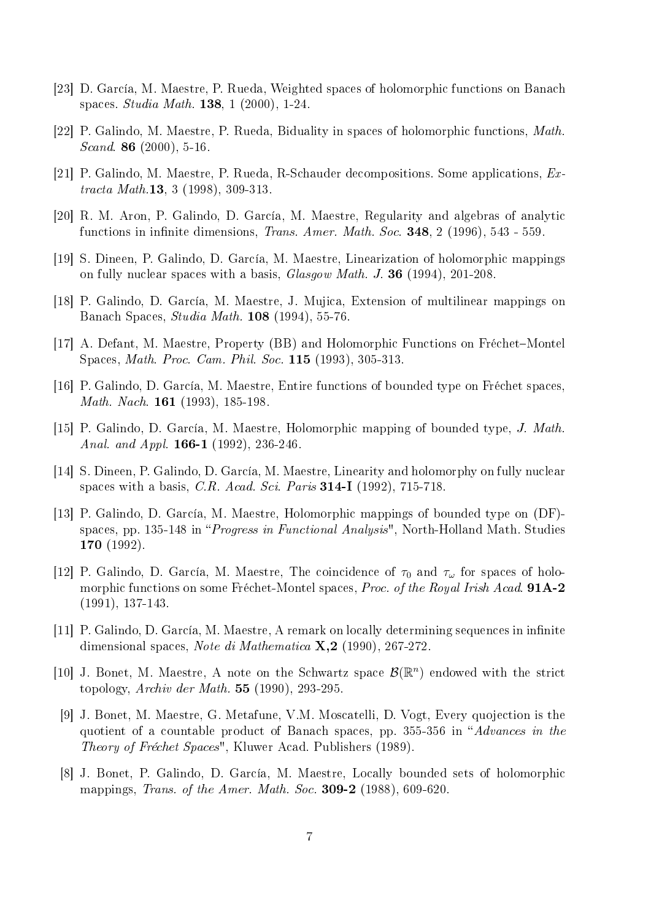- [23] D. García, M. Maestre, P. Rueda, Weighted spaces of holomorphic functions on Banach spaces. Studia Math. 138, 1 (2000), 1-24.
- [22] P. Galindo, M. Maestre, P. Rueda, Biduality in spaces of holomorphic functions, Math. *Scand.* **86** (2000), 5-16.
- [21] P. Galindo, M. Maestre, P. Rueda, R-Schauder decompositions. Some applications, Extracta Math.13, 3 (1998), 309-313.
- [20] R. M. Aron, P. Galindo, D. García, M. Maestre, Regularity and algebras of analytic functions in infinite dimensions, *Trans. Amer. Math. Soc.* **348**,  $2$  (1996), 543 - 559.
- [19] S. Dineen, P. Galindo, D. García, M. Maestre, Linearization of holomorphic mappings on fully nuclear spaces with a basis, Glasgow Math. J. 36 (1994), 201-208.
- [18] P. Galindo, D. García, M. Maestre, J. Mujica, Extension of multilinear mappings on Banach Spaces, Studia Math. 108 (1994), 55-76.
- [17] A. Defant, M. Maestre, Property (BB) and Holomorphic Functions on Fréchet–Montel Spaces, Math. Proc. Cam. Phil. Soc. 115 (1993), 305-313.
- [16] P. Galindo, D. García, M. Maestre, Entire functions of bounded type on Fréchet spaces, Math. Nach. 161 (1993), 185-198.
- [15] P. Galindo, D. García, M. Maestre, Holomorphic mapping of bounded type, J. Math. Anal. and Appl. **166-1** (1992), 236-246.
- [14] S. Dineen, P. Galindo, D. García, M. Maestre, Linearity and holomorphy on fully nuclear spaces with a basis, C.R. Acad. Sci. Paris 314-I (1992), 715-718.
- [13] P. Galindo, D. García, M. Maestre, Holomorphic mappings of bounded type on (DF) spaces, pp. 135-148 in "*Progress in Functional Analysis*", North-Holland Math. Studies 170 (1992).
- [12] P. Galindo, D. García, M. Maestre, The coincidence of  $\tau_0$  and  $\tau_\omega$  for spaces of holomorphic functions on some Fréchet-Montel spaces, *Proc. of the Royal Irish Acad.* **91A-2** (1991), 137-143.
- [11] P. Galindo, D. García, M. Maestre, A remark on locally determining sequences in infinite dimensional spaces, Note di Mathematica X,2 (1990), 267-272.
- [10] J. Bonet, M. Maestre, A note on the Schwartz space  $\mathcal{B}(\mathbb{R}^n)$  endowed with the strict topology, Archiv der Math. 55 (1990), 293-295.
- [9] J. Bonet, M. Maestre, G. Metafune, V.M. Moscatelli, D. Vogt, Every quojection is the quotient of a countable product of Banach spaces, pp. 355-356 in "Advances in the Theory of Fréchet Spaces", Kluwer Acad. Publishers (1989).
- [8] J. Bonet, P. Galindo, D. García, M. Maestre, Locally bounded sets of holomorphic mappings, *Trans. of the Amer. Math. Soc.* **309-2** (1988), 609-620.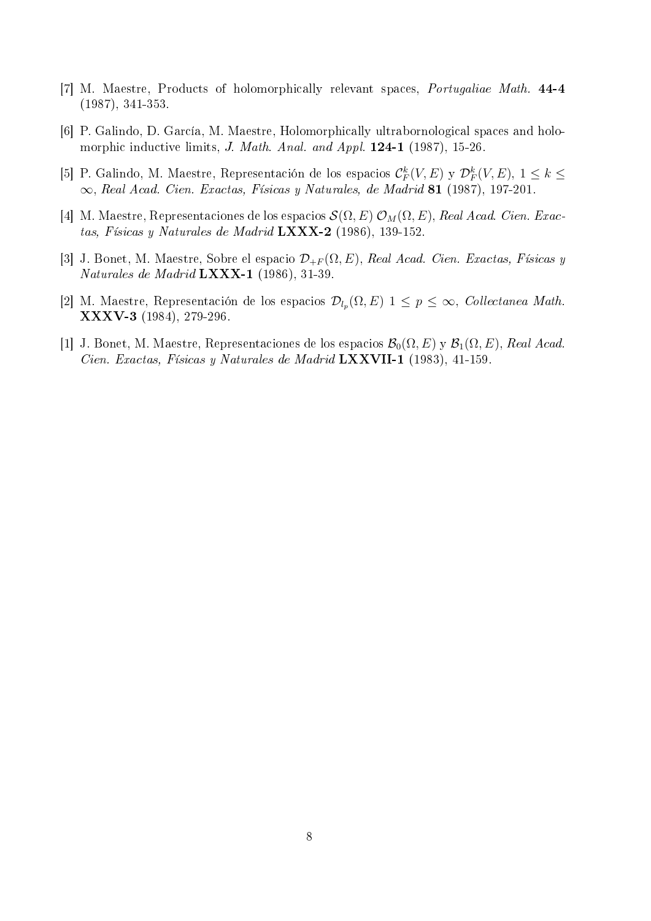- [7] M. Maestre, Products of holomorphically relevant spaces, Portugaliae Math. 44-4 (1987), 341-353.
- [6] P. Galindo, D. García, M. Maestre, Holomorphically ultrabornological spaces and holomorphic inductive limits, *J. Math. Anal. and Appl.* **124-1** (1987), 15-26.
- [5] P. Galindo, M. Maestre, Representación de los espacios  $\mathcal{C}_F^k(V,E)$  y  $\mathcal{D}_F^k(V,E)$ ,  $1 \leq k \leq$ ∞, Real Acad. Cien. Exactas, Físicas y Naturales, de Madrid 81 (1987), 197-201.
- [4] M. Maestre, Representaciones de los espacios  $\mathcal{S}(\Omega,E)$   $\mathcal{O}_M(\Omega,E)$ , Real Acad. Cien. Exactas, Físicas y Naturales de Madrid LXXX-2 (1986), 139-152.
- [3] J. Bonet, M. Maestre, Sobre el espacio  $\mathcal{D}_{+F}(\Omega, E)$ , Real Acad. Cien. Exactas, Físicas y Naturales de Madrid  $\text{LXXX-1}$  (1986), 31-39.
- [2] M. Maestre, Representación de los espacios  $\mathcal{D}_{l_p}(\Omega,E)$   $1 \leq p \leq \infty$ , Collectanea Math. XXXV-3 (1984), 279-296.
- [1] J. Bonet, M. Maestre, Representaciones de los espacios  $\mathcal{B}_0(\Omega, E)$  y  $\mathcal{B}_1(\Omega, E)$ , Real Acad. Cien. Exactas, Físicas y Naturales de Madrid LXXVII-1 (1983), 41-159.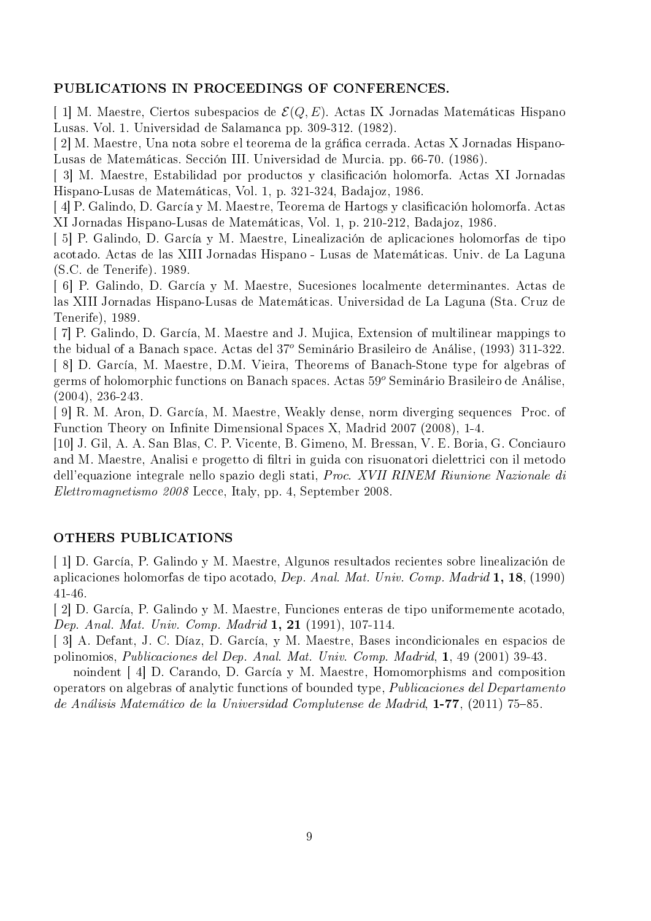## PUBLICATIONS IN PROCEEDINGS OF CONFERENCES.

[ 1] M. Maestre, Ciertos subespacios de  $\mathcal{E}(Q, E)$ . Actas IX Jornadas Matemáticas Hispano Lusas. Vol. 1. Universidad de Salamanca pp. 309-312. (1982).

[2] M. Maestre, Una nota sobre el teorema de la gráfica cerrada. Actas X Jornadas Hispano-Lusas de Matemáticas. Sección III. Universidad de Murcia. pp. 66-70. (1986).

[3] M. Maestre, Estabilidad por productos y clasificación holomorfa. Actas XI Jornadas Hispano-Lusas de Matemáticas, Vol. 1, p. 321-324, Badajoz, 1986.

[4] P. Galindo, D. García y M. Maestre, Teorema de Hartogs y clasificación holomorfa. Actas XI Jornadas Hispano-Lusas de Matemáticas, Vol. 1, p. 210-212, Badajoz, 1986.

[ 5] P. Galindo, D. García y M. Maestre, Linealización de aplicaciones holomorfas de tipo acotado. Actas de las XIII Jornadas Hispano - Lusas de Matemáticas. Univ. de La Laguna (S.C. de Tenerife). 1989.

[ 6] P. Galindo, D. García y M. Maestre, Sucesiones localmente determinantes. Actas de las XIII Jornadas Hispano-Lusas de Matemáticas. Universidad de La Laguna (Sta. Cruz de Tenerife), 1989.

[ 7] P. Galindo, D. García, M. Maestre and J. Mujica, Extension of multilinear mappings to the bidual of a Banach space. Actas del 37° Seminário Brasileiro de Análise, (1993) 311-322. [ 8] D. García, M. Maestre, D.M. Vieira, Theorems of Banach-Stone type for algebras of germs of holomorphic functions on Banach spaces. Actas 59<sup>o</sup> Seminário Brasileiro de Análise. (2004), 236-243.

[ 9] R. M. Aron, D. García, M. Maestre, Weakly dense, norm diverging sequences Proc. of Function Theory on Infinite Dimensional Spaces X, Madrid 2007 (2008), 1-4.

[10] J. Gil, A. A. San Blas, C. P. Vicente, B. Gimeno, M. Bressan, V. E. Boria, G. Conciauro and M. Maestre, Analisi e progetto di filtri in guida con risuonatori dielettrici con il metodo dell'equazione integrale nello spazio degli stati, Proc. XVII RINEM Riunione Nazionale di Elettromagnetismo 2008 Lecce, Italy, pp. 4, September 2008.

## OTHERS PUBLICATIONS

[ 1] D. García, P. Galindo y M. Maestre, Algunos resultados recientes sobre linealización de aplicaciones holomorfas de tipo acotado, Dep. Anal. Mat. Univ. Comp. Madrid  $1, 18, (1990)$ 41-46.

[ 2] D. García, P. Galindo y M. Maestre, Funciones enteras de tipo uniformemente acotado, Dep. Anal. Mat. Univ. Comp. Madrid 1, 21 (1991), 107-114.

[ 3] A. Defant, J. C. Díaz, D. García, y M. Maestre, Bases incondicionales en espacios de polinomios, Publicaciones del Dep. Anal. Mat. Univ. Comp. Madrid, 1, 49 (2001) 39-43.

noindent [ 4] D. Carando, D. García y M. Maestre, Homomorphisms and composition operators on algebras of analytic functions of bounded type, Publicaciones del Departamento de Análisis Matemático de la Universidad Complutense de Madrid,  $1-77$ , (2011) 75-85.